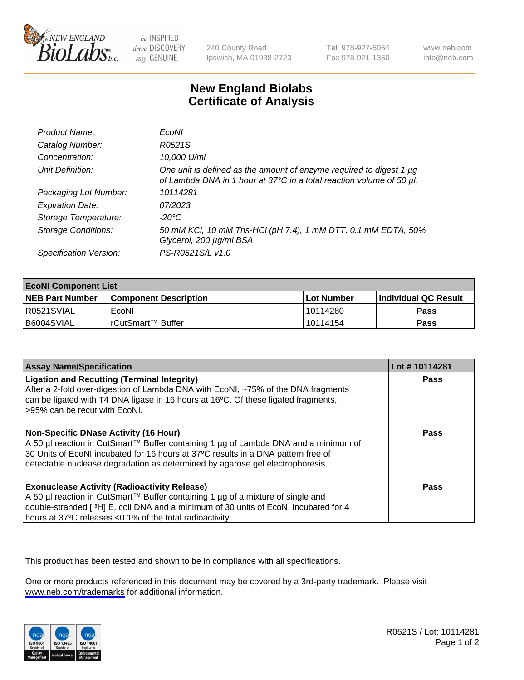

be INSPIRED drive DISCOVERY stay GENUINE

240 County Road Ipswich, MA 01938-2723 Tel 978-927-5054 Fax 978-921-1350

www.neb.com info@neb.com

## **New England Biolabs Certificate of Analysis**

| Product Name:              | EcoNI                                                                                                                                       |
|----------------------------|---------------------------------------------------------------------------------------------------------------------------------------------|
| Catalog Number:            | R0521S                                                                                                                                      |
| Concentration:             | 10,000 U/ml                                                                                                                                 |
| Unit Definition:           | One unit is defined as the amount of enzyme required to digest 1 µg<br>of Lambda DNA in 1 hour at 37°C in a total reaction volume of 50 µl. |
| Packaging Lot Number:      | 10114281                                                                                                                                    |
| <b>Expiration Date:</b>    | 07/2023                                                                                                                                     |
| Storage Temperature:       | -20°C                                                                                                                                       |
| <b>Storage Conditions:</b> | 50 mM KCl, 10 mM Tris-HCl (pH 7.4), 1 mM DTT, 0.1 mM EDTA, 50%<br>Glycerol, 200 µg/ml BSA                                                   |
| Specification Version:     | PS-R0521S/L v1.0                                                                                                                            |

| <b>EcoNI Component List</b> |                         |              |                             |  |
|-----------------------------|-------------------------|--------------|-----------------------------|--|
| <b>NEB Part Number</b>      | l Component Description | l Lot Number | <b>Individual QC Result</b> |  |
| I R0521SVIAL                | EcoNI                   | l 10114280   | Pass                        |  |
| B6004SVIAL                  | l rCutSmart™ Buffer_    | l 10114154   | Pass                        |  |

| <b>Assay Name/Specification</b>                                                                                                                                                                                                                                                                      | Lot #10114281 |
|------------------------------------------------------------------------------------------------------------------------------------------------------------------------------------------------------------------------------------------------------------------------------------------------------|---------------|
| <b>Ligation and Recutting (Terminal Integrity)</b><br>After a 2-fold over-digestion of Lambda DNA with EcoNI, ~75% of the DNA fragments<br>can be ligated with T4 DNA ligase in 16 hours at 16 <sup>o</sup> C. Of these ligated fragments,<br>-95% can be recut with EcoNI.                          | Pass          |
| Non-Specific DNase Activity (16 Hour)<br>  A 50 µl reaction in CutSmart™ Buffer containing 1 µg of Lambda DNA and a minimum of<br>30 Units of EcoNI incubated for 16 hours at 37°C results in a DNA pattern free of<br>detectable nuclease degradation as determined by agarose gel electrophoresis. | Pass          |
| <b>Exonuclease Activity (Radioactivity Release)</b><br>A 50 µl reaction in CutSmart™ Buffer containing 1 µg of a mixture of single and<br>double-stranded [3H] E. coli DNA and a minimum of 30 units of EcoNI incubated for 4<br>hours at 37°C releases <0.1% of the total radioactivity.            | Pass          |

This product has been tested and shown to be in compliance with all specifications.

One or more products referenced in this document may be covered by a 3rd-party trademark. Please visit <www.neb.com/trademarks>for additional information.